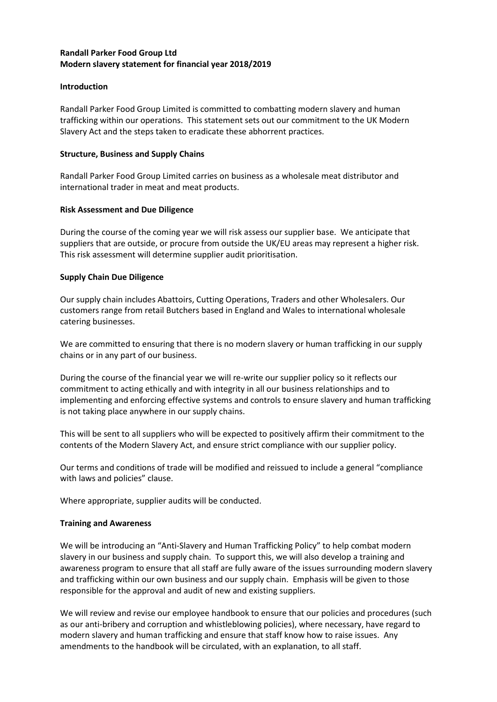## **Randall Parker Food Group Ltd Modern slavery statement for financial year 2018/2019**

## **Introduction**

Randall Parker Food Group Limited is committed to combatting modern slavery and human trafficking within our operations. This statement sets out our commitment to the UK Modern Slavery Act and the steps taken to eradicate these abhorrent practices.

## **Structure, Business and Supply Chains**

Randall Parker Food Group Limited carries on business as a wholesale meat distributor and international trader in meat and meat products.

## **Risk Assessment and Due Diligence**

During the course of the coming year we will risk assess our supplier base. We anticipate that suppliers that are outside, or procure from outside the UK/EU areas may represent a higher risk. This risk assessment will determine supplier audit prioritisation.

# **Supply Chain Due Diligence**

Our supply chain includes Abattoirs, Cutting Operations, Traders and other Wholesalers. Our customers range from retail Butchers based in England and Wales to international wholesale catering businesses.

We are committed to ensuring that there is no modern slavery or human trafficking in our supply chains or in any part of our business.

During the course of the financial year we will re-write our supplier policy so it reflects our commitment to acting ethically and with integrity in all our business relationships and to implementing and enforcing effective systems and controls to ensure slavery and human trafficking is not taking place anywhere in our supply chains.

This will be sent to all suppliers who will be expected to positively affirm their commitment to the contents of the Modern Slavery Act, and ensure strict compliance with our supplier policy.

Our terms and conditions of trade will be modified and reissued to include a general "compliance with laws and policies" clause.

Where appropriate, supplier audits will be conducted.

# **Training and Awareness**

We will be introducing an "Anti-Slavery and Human Trafficking Policy" to help combat modern slavery in our business and supply chain. To support this, we will also develop a training and awareness program to ensure that all staff are fully aware of the issues surrounding modern slavery and trafficking within our own business and our supply chain. Emphasis will be given to those responsible for the approval and audit of new and existing suppliers.

We will review and revise our employee handbook to ensure that our policies and procedures (such as our anti-bribery and corruption and whistleblowing policies), where necessary, have regard to modern slavery and human trafficking and ensure that staff know how to raise issues. Any amendments to the handbook will be circulated, with an explanation, to all staff.